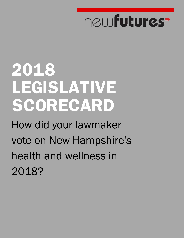# newfutures<sup>-</sup>

# **2018 LEGISLATIVE SCORECARD**

How did your lawmaker vote on New Hampshire's health and wellness in 2018?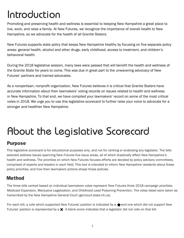## Introduction

Promoting and preserving health and wellness is essential to keeping New Hampshire a great place to live, work, and raise a family. At New Futures, we recognize the importance of overall health to New Hampshire, so we advocate for the health of all Granite Staters.

New Futures supports state policy that keeps New Hampshire healthy by focusing on five separate policy areas: general health, alcohol and other drugs, early childhood, access to treatment, and children's behavioral health.

During the 2018 legislative session, many laws were passed that will benefit the health and wellness of the Granite State for years to come. This was due in great part to the unwavering advocacy of New Futures' partners and trained advocates.

As a nonpartisan, nonprofit organization, New Futures believes it is critical that Granite Staters have accurate information about their lawmakers' voting records on issues related to health and wellness in New Hampshire. To that end, we have compiled your lawmakers' record on some of the most critical votes in 2018. We urge you to use this legislative scorecard to further raise your voice to advocate for a stronger and healthier New Hampshire.

## About the Legislative Scorecard

#### **Purpose**

This legislative scorecard is for educational purposes only, and not for ranking or endorsing any legislator. The bills selected address issues spanning New Futures five issue areas, all of which drastically affect New Hampshire's health and wellness. The priorities on which New Futures focuses efforts are decided by policy advisory committees, comprised of experts and leaders in each field. This tool is intended to inform New Hampshire residents about these policy priorities, and how their lawmakers actions shape those policies.

#### **Method**

The three bills ranked based on individual lawmakers votes represent New Futures three 2018 campaign priorities: Medicaid Expansion, Marijuana Legalization, and Childhood Lead Poisoning Prevention. The votes listed were taken as transcribed by the New Hampshire General Court (gencourt.state.nh.us).

For each bill, a vote which supported New Futures' position is indicated by a  $\bigstar$  and one which did not support New Futures' position is represented by a  $\chi$ . A blank score indicates that a legislator did not vote on that bill.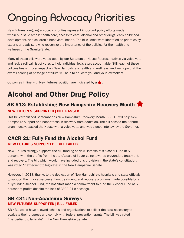## Ongoing Advocacy Priorities

New Futures' ongoing advocacy priorities represent important policy efforts made within our issue areas: health care, access to care, alcohol and other drugs, early childhood development, and children's behavioral health. The bills listed were identified as priorities by experts and advisers who recognize the importance of the policies for the health and wellness of the Granite State.

Many of these bills were voted upon by our Senators or House Representatives via voice vote and lack a roll call list of votes to hold individual legislators accountable. Still, each of these policies has a critical impact on New Hampshire's health and wellness, and we hope that the overall scoring of passage or failure will help to educate you and your lawmakers.

Outcomes in line with New Futures' position are indicated by a  $\blacktriangleright$ .

### **Alcohol and Other Drug Policy**

#### **SB 513: Establishing New Hampshire Recovery Month NEW FUTURES SUPPORTED | BILL PASSED**

This bill established September as New Hampshire Recovery Month. SB 513 will help New Hampshire support and honor those in recovery from addiction. The bill passed the Senate unanimously, passed the House with a voice vote, and was signed into law by the Governor.

#### **CACR 21: Fully Fund the Alcohol Fund NEW FUTURES SUPPORTED | BILL FAILED**

New Futures strongly supports the full funding of New Hampshire's Alcohol Fund at 5 percent, with the profits from the state's sale of liquor going towards prevention, treatment, and recovery. The bill, which would have included this provision in the state's constitution, was voted 'inexpedient to legislate' in the New Hampshire Senate.

However, in 2018, thanks to the dedication of New Hampshire's hospitals and state officials to support the innovative prevention, treatment, and recovery programs made possible by a fully-funded Alcohol Fund, the hospitals made a commitment to fund the Alcohol Fund at 5 percent of profits despite the lack of CACR 21's passage.

#### **SB 431: Non-Academic Surveys NEW FUTURES SUPPORTED | BILL FAILED**

SB 431 would have allowed schools and organizations to collect the data necessary to evaluate their progress and comply with federal prevention grants. The bill was voted 'inexpedient to legislate' in the New Hampshire Senate.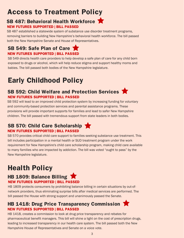### **Access to Treatment Policy**

#### **SB 487: Behavioral Health Workforce NEW FUTURES SUPPORTED | BILL PASSED**

SB 487 established a statewide system of substance use disorder treatment programs, removing barriers to building New Hampshire's behavioral health workforce. The bill passed both the New Hampshire Senate and House of Representatives.

#### **SB 549: Safe Plan of Care NEW FUTURES SUPPORTED | BILL PASSED**

SB 549 directs health care providers to help develop a safe plan of care for any child born exposed to drugs or alcohol, which will help reduce stigma and support healthy moms and babies. The bill passed both bodies of the New Hampshire legislature.

### **Early Childhood Policy**

#### **SB 592: Child Welfare and Protection Services NEW FUTURES SUPPORTED | BILL PASSED**

SB 592 will lead to an improved child protection system by increasing funding for voluntary and community-based protection services and parental assistance programs. These provisions will provide important supports for families and lead to safer New Hampshire children. The bill passed with tremendous support from state leaders in both bodies.

#### **SB 570: Child Care Scholarship NEW FUTURES SUPPORTED | BILL PASSED**

SB 570 provides critical child care support to families seeking substance use treatment. This bill includes participation in a mental health or SUD treatment program under the work requirement for New Hampshire's child care scholarship program, making child care available to many families who are impacted by addiction. The bill was voted "ought to pass" by the New Hampshire legislature.

### **Health Policy**

#### **HB 1809: Balance Billing NEW FUTURES SUPPORTED | BILL PASSED**

HB 1809 protects consumers by prohibiting balance billing in certain situations by out-ofnetwork providers, thus eliminating surprise bills after medical services are performed. The bill passed the House with strong support and unanimously passed the Senate.

#### **HB 1418: Drug Price Transparency Commission NEW FUTURES SUPPORTED | BILL PASSED**

HB 1418, creates a commission to look at drug price transparency and rebates for pharmaceutical benefit managers. This bill will shine a light on the cost of prescription drugs, leading to increased transparency in our health care system. The bill passed both the New Hampshire House of Representatives and Senate on a voice vote.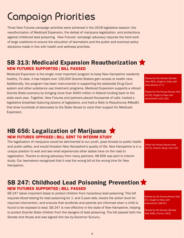## Campaign Priorities

Three New Futures campaign priorities were achieved in the 2018 legislative session: the reauthorization of Medicaid Expansion, the defeat of marijuana legalization, and protections against childhood lead poisoning. New Futures' campaign advocacy requires the hard work of large coalitions to ensure the education of lawmakers and the public and eventual policy decisions made in line with health and wellness priorities.

#### **SB 313: Medicaid Expansion Reauthorization NEW FUTURES SUPPORTED | BILL PASSED**

Medicaid Expansion is the single most important program to keep New Hampshire residents healthy. To date, it has helped over 130,000 Granite Staters gain access to health care. Additionally, the program has been instrumental in supporting the statewide Drug Court system and other substance use treatment programs. Medicaid Expansion supports a vibrant Granite State economy by bringing more than \$400 million in federal funding back to the state each year. Together, New Futures and partners placed thousands of calls, hosted a legislative breakfast featuring dozens of legislators, and held a Rally to Reauthorize #MedEx that drew hundreds of advocates to the State House to voice their support for Medicaid Expansion.

*Passed by the Senate [Senate Vote #82], (Ought to Pass with Amendment 17-7)*

*Passed by the House [House Vote #176], (Ought to Pass with Amendment 222-125)*

#### **HB 656: Legalization of Marijuana NEW FUTURES OPPOSED | BILL SENT TO INTERIM STUDY**

The legalization of marijuana would be detrimental to our youth, pose threats to public health and public safety, and would threaten New Hampshire's quality of life. New Hampshire is in a unique position to wait and see what experiences other states have on the road to legalization. Thanks to strong advocacy from many partners, HB 656 was sent to interim study. Our lawmakers recognized that it was the wrong bill at the wrong time for New Hampshire.

*Failed the House [House Vote #173], (Interim Study 153-135)*

#### **SB 247: Childhood Lead Poisoning Prevention NEW FUTURES SUPPORTED | BILL PASSED**

SB 247 takes important steps to protect children from hazardous lead poisoning. This bill requires blood testing for lead poisoning for 1- and 2-year-olds, lowers the action level for required intervention, and ensures that landlords and parents are informed when a child is found to be exposed to lead. SB 247 is now effective in the state of New Hampshire, helping to protect Granite State children from the dangers of lead poisoning. The bill passed both the Senate and House and was signed into law by Governor Sununu.

*Passed by the House [House Vote #7], (Ought to Pass with Amendment 266-87)*

*Passed by the Senate [Senate Vote #26], (Concur 18-6)*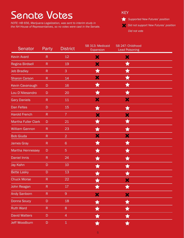## Senate Votes

*NOTE: HB 656, Marijuana Legalization, was sent to interim study in the NH House of Representatives, so no votes were cast in the Senate.*



**Supported New Futures' position** 

*Did not support New Futures' position*

*Did not vote*

| Senator                    | Party        | <b>District</b> | SB 313: Medicaid<br>Expansion | SB 247: Childhood<br><b>Lead Poisoning</b> |  |
|----------------------------|--------------|-----------------|-------------------------------|--------------------------------------------|--|
| <b>Kevin Avard</b>         | $\mathsf{R}$ | 12              | X                             | ×                                          |  |
| <b>Regina Birdsell</b>     | $\mathsf R$  | 19              | ×                             | $\bigstar$                                 |  |
| <b>Jeb Bradley</b>         | $\mathsf{R}$ | 3               | ★                             | $\bigstar$                                 |  |
| <b>Sharon Carson</b>       | $\mathsf{R}$ | 14              | ×                             | $\bigstar$                                 |  |
| Kevin Cavanaugh            | D            | 16              | ★                             | $\bigstar$                                 |  |
| Lou D'Allesandro           | D            | 20              | ★                             | ★                                          |  |
| <b>Gary Daniels</b>        | $\mathsf R$  | 11              | ×                             | ×                                          |  |
| <b>Dan Feltes</b>          | D            | 15              | $\bigstar$                    | $\bigstar$                                 |  |
| <b>Harold French</b>       | $\mathsf{R}$ | 7 <sup>1</sup>  | ×                             | ×                                          |  |
| <b>Martha Fuller Clark</b> | D            | 21              | ★                             | ★                                          |  |
| <b>William Gannon</b>      | $\mathsf R$  | 23              | ★                             | ★                                          |  |
| <b>Bob Giuda</b>           | $\mathsf{R}$ | $\overline{2}$  | X                             | ×                                          |  |
| <b>James Gray</b>          | $\mathsf{R}$ | $6\phantom{a}$  | ★                             | ★                                          |  |
| <b>Martha Hennessey</b>    | D            | $\overline{5}$  | ★                             | ★                                          |  |
| <b>Daniel Innis</b>        | $\mathsf{R}$ | 24              | ★                             | ★                                          |  |
| Jay Kahn                   | D            | 10              | ★                             | $\bigstar$                                 |  |
| <b>Bette Lasky</b>         | D            | 13              | $\bigstar$                    | 貪                                          |  |
| <b>Chuck Morse</b>         | R            | 22              | A                             | ×                                          |  |
| John Reagan                | ${\sf R}$    | 17 <sup>°</sup> |                               | $\bigstar$                                 |  |
| <b>Andy Sanborn</b>        | ${\sf R}$    | $\overline{9}$  | X                             | ×                                          |  |
| Donna Soucy                | $\mathsf D$  | 18              | $\bigstar$                    | $\bigstar$                                 |  |
| <b>Ruth Ward</b>           | ${\sf R}$    | 8               | $\bigstar$                    | $\bigstar$                                 |  |
| <b>David Watters</b>       | $\mathsf D$  | $\overline{4}$  |                               | $\bigstar$                                 |  |
| <b>Jeff Woodburn</b>       | $\mathsf D$  | $\mathbf 1$     |                               |                                            |  |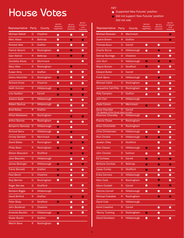## House Votes

#### KEY

- *Supported New Futures' position*
- *Did not support New Futures' position Did not vote*

| Representative           | Party                   | County           | HB 656:<br>Marijuana<br>Legalization | SB 313:<br>Medicaid<br>Expansion | SB 247:<br>Childhood<br>Lead<br>Poisoning |
|--------------------------|-------------------------|------------------|--------------------------------------|----------------------------------|-------------------------------------------|
| <b>Michael Abbott</b>    | D                       | <b>Cheshire</b>  | ★                                    | ★                                | ★                                         |
| <b>Marc Abear</b>        | R                       | <b>Belknap</b>   | ★                                    | ×                                | ×                                         |
| <b>Richard Abel</b>      | D                       | Grafton          | ★                                    | ★                                | ★                                         |
| <b>Patrick Abrami</b>    | R                       | Rockingham       | ★                                    | ×                                | ★                                         |
| <b>Glen Aldrich</b>      | R                       | <b>Belknap</b>   | ×                                    | ×                                | ×                                         |
| Caroletta Alicea         | D                       | <b>Merrimack</b> |                                      |                                  | ★                                         |
| <b>Mary Allen</b>        | R                       | Rockingham       |                                      | ×                                |                                           |
| <b>Susan Almy</b>        | D                       | Grafton          | $\bigstar$                           | ★                                | ★                                         |
| <b>Debra Altschiller</b> | D                       | Rockingham       | ×                                    | ★                                | ★                                         |
| <b>Richard Ames</b>      | D                       | <b>Cheshire</b>  | ★                                    | ★                                | ★                                         |
| <b>Keith Ammon</b>       | R                       | Hillsborough     | ×                                    | ×                                | ×                                         |
| Lino Avellani            | R                       | Carroll          | ×                                    | ×                                | ×                                         |
| Jessica Ayala            | D                       | Hillsborough     |                                      | ★                                | ★                                         |
| <b>Robert Backus</b>     | $\overline{\mathsf{D}}$ | Hillsborough     | $\bigstar$                           | ★                                | ★                                         |
| <b>Brad Bailey</b>       | R                       | Grafton          |                                      | ★                                |                                           |
| <b>Alfred Baldasaro</b>  | R                       | Rockingham       |                                      | ×                                | ×                                         |
| <b>Arthur Barnes</b>     | R                       | Rockingham       | $\bigstar$                           | ★                                | ★                                         |
| <b>Benjamin Baroody</b>  | D                       | Hillsborough     | ×                                    | ★                                |                                           |
| <b>Richard Barry</b>     | R                       | Hillsborough     | ★                                    | ×                                |                                           |
| <b>Christy Bartlett</b>  | D                       | <b>Merrimack</b> | ×                                    | ★                                | ★                                         |
| <b>David Bates</b>       | R                       | Rockingham       | ★                                    | ×                                | ×                                         |
| <b>Philip Bean</b>       | R                       | Rockingham       | ×                                    | ×                                | ★                                         |
| <b>Steven Beaudoin</b>   | R                       | <b>Strafford</b> |                                      | ×                                | ×                                         |
| Jane Beaulieu            | D                       | Hillsborough     |                                      | ★                                | ★                                         |
| <b>James Belanger</b>    | $\mathsf{R}$            | Hillsborough     | ×                                    | ★                                | ×                                         |
| <b>Travis Bennett</b>    | D                       | Grafton          | ×                                    | ★                                | $\bigstar$                                |
| <b>Paul Berch</b>        | D                       | <b>Cheshire</b>  | ×                                    | $\bigstar$                       | ★                                         |
| <b>Skip Berrien</b>      | D                       | Rockingham       | $\bigstar$                           | $\bigstar$                       |                                           |
| <b>Roger Berube</b>      | D                       | <b>Strafford</b> |                                      | $\bigstar$                       | $\bigstar$                                |
| <b>Barbara Biggie</b>    | R                       | Hillsborough     |                                      |                                  | $\bigstar$                                |
| <b>David Binford</b>     | R                       | Grafton          |                                      | ×                                | ×                                         |
| <b>Peter Bixby</b>       | D                       | <b>Strafford</b> | ×                                    | ★                                | ★                                         |
| <b>John Bordenet</b>     | D                       | <b>Cheshire</b>  |                                      | ★                                | ★                                         |
| Amanda Bouldin           | D                       | Hillsborough     | ×                                    | ★                                | ★                                         |
| <b>Skylar Boutin</b>     | R                       | Grafton          | $\bigstar$                           |                                  |                                           |
| <b>Martin Bove</b>       | $\mathsf{R}$            | Rockingham       | ★                                    |                                  |                                           |

| Representative                                                     | Party        | County              | HB 656:<br>Marijuana<br>Legalization | SB 313:<br>Medicaid<br>Expansion | SB 247:<br>Childhood<br>Lead<br>Poisoning |
|--------------------------------------------------------------------|--------------|---------------------|--------------------------------------|----------------------------------|-------------------------------------------|
| <b>Michael Brewster</b>                                            | R            | <b>Merrimack</b>    |                                      |                                  | ×                                         |
| <b>Duane Brown</b>                                                 | R            | Grafton             |                                      |                                  | ×                                         |
| <b>Thomas Buco</b>                                                 | D            | Carroll             | $\bigstar$                           | $\bigstar$                       |                                           |
| <b>Charlie Burns</b>                                               | R            | Hillsborough        | ★                                    | ×                                | $\bigstar$                                |
| <b>Delmar Burridge</b>                                             | D            | <b>Cheshire</b>     |                                      | ★                                | $\bigstar$                                |
| <b>John Burt</b>                                                   | R            | Hillsborough        | ×                                    | ×                                | ×                                         |
| <b>Wayne Burton</b>                                                | D            | <b>Strafford</b>    | ×                                    | $\bigstar$                       | ★                                         |
| <b>Edward Butler</b>                                               | D            | Carroll             |                                      | ★                                |                                           |
| <b>Frank Byron</b>                                                 | R            | Hillsborough        | ★                                    | ×                                | ★                                         |
| <b>Michael Cahill</b>                                              | D            | Rockingham          | $\bigstar$                           | ★                                | ★                                         |
| <b>Jacqueline Cali-Pitts</b>                                       | D            | Rockingham          | $\bigstar$                           | ★                                | $\bigstar$                                |
| <b>Polly Campion</b>                                               | D            | Grafton             | ★                                    | ★                                | ★                                         |
| <b>John Carr</b>                                                   | R            | Hillsborough        |                                      |                                  | $\bigstar$                                |
| <b>Clyde Carson</b>                                                | D            | <b>Merrimack</b>    | ×                                    | ★                                | ★                                         |
| <b>Gene Chandler</b>                                               | R            | Carroll             |                                      |                                  |                                           |
| The Speaker of the House does not vote.<br><b>Shannon Chandley</b> | D            | <b>Hillsborough</b> | $\bigstar$                           | ★                                | ★                                         |
| <b>Francis Chase</b>                                               | R            | Rockingham          |                                      |                                  |                                           |
| <b>Brian Chirichiello</b>                                          | $\mathsf{R}$ | Rockingham          |                                      | ×                                | ★                                         |
| <b>Chris Christensen</b>                                           | R            | Hillsborough        | ★                                    | ★                                | $\bigstar$                                |
| <b>Rick Christie</b>                                               | R            | Hillsborough        | ×                                    | ×                                | $\bigstar$                                |
| <b>Jacalyn Cilley</b>                                              | D            | <b>Strafford</b>    |                                      | ★                                | $\bigstar$                                |
| <b>Skip Cleaver</b>                                                | D            | Hillsborough        | ×                                    | ★                                | ★                                         |
| <b>John Cloutier</b>                                               | D            | <b>Sullivan</b>     | ★                                    | ★                                | ★                                         |
| <b>Ed Comeau</b>                                                   | R            | Carroll             | ×                                    | ×                                | ×                                         |
| <b>Barbara Comtois</b>                                             | R            | <b>Belknap</b>      | ×                                    | ×                                | ×                                         |
| <b>Casey Conley</b>                                                | D            | <b>Strafford</b>    | ×                                    | ★                                | $\bigstar$                                |
| <b>Erika Connors</b>                                               | D            | Hillsborough        | $\bigstar$                           | ★                                | ★                                         |
| <b>Allen Cook</b>                                                  | R            | Rockingham          | $\bigstar$                           | ×                                | $\bigstar$                                |
| <b>Glenn Cordelli</b>                                              | R            | Carroll             | $\bigstar$                           | ×                                | ×                                         |
| <b>Patricia Cornell</b>                                            | D            | Hillsborough        | ★                                    | ★                                | ★                                         |
| <b>Michael Costable</b>                                            | R            | Rockingham          |                                      | ×                                | ×                                         |
| <b>David Cote</b>                                                  | D            | Hillsborough        |                                      |                                  |                                           |
| <b>Karel Crawford</b>                                              | R            | Carroll             |                                      | ★                                | ★                                         |
| 'Renny' Cushing                                                    | D            | Rockingham          | ×                                    | ★                                |                                           |
| <b>David Danielson</b>                                             | R            | Hillsborough        | ★                                    | ★                                | ★                                         |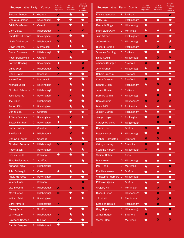| Representative Party      |                 | County              | HB 656:<br>Marijuana<br>Legalization | SB 313:<br>Medicaid<br>Expansion | SB 247:<br>Childhood<br>Lead<br>Poisoning | Representative                     | Party           | County           | HB 656:<br>Marijuana<br>Legalization | SB 313:<br>Medicaid<br>Expansion | SB 247:<br>Childhood<br>Lead<br>Poisoning |
|---------------------------|-----------------|---------------------|--------------------------------------|----------------------------------|-------------------------------------------|------------------------------------|-----------------|------------------|--------------------------------------|----------------------------------|-------------------------------------------|
| <b>Stephen Darrow</b>     | R               | Grafton             | ×                                    | ★                                | ★                                         | <b>Francis Gauthier</b>            |                 | R Sullivan       |                                      |                                  | $\boldsymbol{\varkappa}$                  |
| Debra DeSimone            | R.              | Rockingham          | ★                                    | ★                                | $\bigstar$                                | <b>Betty Gay</b>                   | R.              | Rockingham       | ★                                    | ★                                | $\bigstar$                                |
| <b>Edith DesMarais</b>    | D.              | Carroll             | ×                                    | ★                                | ★                                         | <b>Kenneth Gidge</b>               | D.              | Hillsborough     | ★                                    |                                  | ★                                         |
| <b>Glen Dickey</b>        | R.              | Hillsborough        | ×                                    | ×                                | ×                                         | <b>Mary Stuart Gile</b>            | D.              | Merrimack        | ★                                    | ★                                | $\bigstar$                                |
| Charlotte DiLorenzo D     |                 | Rockingham          | ×                                    | ★                                | $\bigstar$                                | <b>Julie Gilman</b>                | D.              | Rockingham       | ×                                    | ★                                | ★                                         |
| Linda DiSilvestro         | D.              | Hillsborough        | ×                                    | ★                                |                                           | <b>Jeffrey Goley</b>               | D.              | Hillsborough     | ★                                    | $\bigstar$                       | ★                                         |
| <b>David Doherty</b>      | D               | <b>Merrimack</b>    | ★                                    | ★                                | ★                                         | <b>Richard Gordon</b>              | R.              | Rockingham       |                                      | ×                                | ×                                         |
| <b>Daniel Donovan</b>     | R.              | Hillsborough        | ★                                    | ×                                | $\bigstar$                                | <b>Suzanne Gottling</b>            |                 | D Sullivan       | ★                                    | ★                                | ★                                         |
| <b>Roger Dontonville</b>  | D.              | Grafton             | ×                                    | ★                                |                                           | <b>Linda Gould</b>                 | R.              | Hillsborough     | ★                                    | ×                                | ×                                         |
| <b>Patricia Dowling</b>   | R.              | Rockingham          | ★                                    | ★                                | ×                                         | Amanda Gourgue                     |                 | D Strafford      | ×                                    | ★                                | ★                                         |
| <b>Caleb Dyer</b>         |                 | Hillsborough        | ×                                    |                                  | ×                                         | John Graham                        |                 | Hillsborough     | ★                                    | ×                                | ★                                         |
| <b>Daniel Eaton</b>       | D.              | <b>Cheshire</b>     | ×                                    | ★                                | ★                                         | <b>Robert Graham</b>               | $R_{\parallel}$ | Strafford        | ★                                    | $\bigstar$                       | $\bigstar$                                |
| <b>Karen Ebel</b>         | D               | <b>Merrimack</b>    |                                      | ★                                | $\bigstar$                                | <b>Chuck Grassie</b>               | D.              | <b>Strafford</b> | ×                                    | ★                                | ★                                         |
| <b>Michael Edgar</b>      | D.              | Rockingham          | ×                                    | ★                                | $\bigstar$                                | <b>Dennis Green</b>                | R.              | Rockingham       | ★                                    | ×                                | ×                                         |
| <b>Elizabeth Edwards</b>  | D               | Hillsborough        |                                      | ★                                | $\bigstar$                                | <b>James Grenier</b>               | R               | Sullivan         |                                      | ★                                | ★                                         |
| <b>Jess Edwards</b>       | R.              | Rockingham          | ×                                    | $\pmb{\times}$                   | $\bigstar$                                | <b>Barbara Griffin</b>             | R.              | Hillsborough     | $\bigstar$                           | ×                                | $\bigstar$                                |
| <b>Joel Elber</b>         | D               | Hillsborough        |                                      | ★                                | ★                                         | <b>Gerald Griffin</b>              | R.              | Hillsborough     | ×                                    | ×                                | ×                                         |
| <b>Robert Elliott</b>     | R.              | Rockingham          |                                      | ★                                | $\bigstar$                                | <b>Mary Griffin</b>                | R.              | Rockingham       | ★                                    | ★                                | ★                                         |
| <b>Donna Ellis</b>        | D.              | <b>Strafford</b>    |                                      | ★                                | ★                                         | <b>Joseph Guthrie</b>              | R.              | Rockingham       | ★                                    | ★                                | ★                                         |
| J. Tracy Emerick          | R.              | Rockingham          | ★                                    | ×                                | $\bigstar$                                | Joseph Hagan                       | R.              | Rockingham       | ★                                    | ×                                | ★                                         |
| <b>Betsey Farnham</b>     | D               | Rockingham          | $\bigstar$                           | ★                                |                                           | <b>Carolyn Halstead</b>            | R.              | Hillsborough     |                                      | ×                                | ×                                         |
| <b>Barry Faulkner</b>     | D.              | <b>Cheshire</b>     | ×                                    | ★                                | ★                                         | <b>Bonnie Ham</b>                  | R.              | Grafton          | ×                                    | $\bigstar$                       | ★                                         |
| Jim Fedolfi               | R.              | <b>Hillsborough</b> |                                      | ×                                | ★                                         | <b>Peter Hansen</b>                | R.              | Hillsborough     | ★                                    | ×                                |                                           |
| Donovan Fenton            | D               | Cheshire            |                                      | ы                                | W                                         | Michael Harrington                 |                 | R Strafford      | ₩                                    | ×                                | ×                                         |
| <b>Elizabeth Ferreira</b> | R.              | Hillsborough        | ×                                    | ×                                | ×                                         | <b>Cathryn Harvey</b>              |                 | D Cheshire       | $\boldsymbol{\mathsf{x}}$            | $\bigstar$                       | $\star$                                   |
| <b>Robert Fesh</b>        | R.              | Rockingham          |                                      | ★                                | $\bigstar$                                | <b>Suzanne Harvey</b>              | D.              | Hillsborough     | $\pmb{\times}$                       | $\bigstar$                       | $\bigstar$                                |
| <b>Dennis Fields</b>      | R               | <b>Belknap</b>      | $\bigstar$                           | $\bigstar$                       | $\bigstar$                                | <b>William Hatch</b>               | D.              | Coos             |                                      | $\bigstar$                       | $\bigstar$                                |
| <b>Timothy Fontneau</b>   | D.              | <b>Strafford</b>    |                                      |                                  | $\star$                                   | <b>Mary Heath</b>                  | D.              | Hillsborough     | $\bigstar$                           | $\bigstar$                       | ★                                         |
| <b>Armand Forest</b>      | D.              | Hillsborough        |                                      | $\bigstar$                       |                                           | <b>Paul Henle</b>                  |                 | D Merrimack      | ★                                    | $\bigstar$                       | $\boldsymbol{\mathsf{x}}$                 |
| John Fothergill           | R               | Coos                | ★                                    | $\bigstar$                       | $\star$                                   | <b>Erin Hennessey</b>              |                 | R Grafton        | ★                                    | $\bigstar$                       | $\bigstar$                                |
| Paula Francese            | D.              | Rockingham          |                                      | $\bigstar$                       | $\bigstar$                                | Christopher Herbert D Hillsborough |                 |                  |                                      | $\bigstar$                       | $\bigstar$                                |
| <b>Valerie Fraser</b>     | $R_{\parallel}$ | <b>Belknap</b>      |                                      |                                  | ×                                         | Patricia Higgins                   |                 | D Grafton        | ★                                    | $\bigstar$                       | ★                                         |
| Lisa Freeman              | R.              | Hillsborough        | ×                                    | ×                                | $\pmb{\times}$                            | <b>Gregory Hill</b>                | R.              | Merrimack        | ★                                    | $\boldsymbol{\mathsf{x}}$        | $\boldsymbol{\mathsf{x}}$                 |
| <b>Mary Freitas</b>       | D.              | Hillsborough        | ×                                    | $\bigstar$                       | $\bigstar$                                | <b>Richard Hinch</b>               | R.              | Hillsborough     | ★                                    | ×                                | ★                                         |
| <b>William Friel</b>      | R.              | Rockingham          |                                      | ★                                | $\bigstar$                                | J.R. Hoell                         | R               | Merrimack        |                                      | ×                                | ×                                         |
| <b>Bart Fromuth</b>       | R.              | Hillsborough        | $\boldsymbol{\varkappa}$             |                                  |                                           | Kathleen Hoelzel                   | R.              | Rockingham       | ★                                    | ×                                | ★                                         |
| <b>Sherry Frost</b>       | D.              | <b>Strafford</b>    |                                      | ★                                | $\bigstar$                                | <b>Gary Hopper</b>                 | R               | Hillsborough     | ★                                    |                                  | ×                                         |
| Larry Gagne               | R.              | Hillsborough        | ×                                    | ★                                | $\bigstar$                                | James Horgan                       | R               | <b>Strafford</b> | ×                                    | $\bigstar$                       | $\bigstar$                                |
| <b>Raymond Gagnon</b>     | D.              | Sullivan            | ×                                    | $\bigstar$                       | $\bigstar$                                | <b>Werner Horn</b>                 | $R_{\parallel}$ | Merrimack        | ★                                    | $\pmb{\times}$                   | ×                                         |
| <b>Carolyn Gargasz</b>    | R <sub>1</sub>  | Hillsborough        | $\star$                              |                                  | $\bigstar$                                |                                    |                 |                  |                                      |                                  |                                           |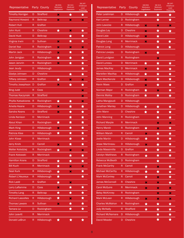| Representative               |    | Party County     | HB 656:<br>Marijuana<br>Legalization | SB 313:<br>Medicaid<br>Expansion | SB 247:<br><b>Childhood</b><br>Lead<br>Poisoning | Representative          | Party | County              | HB 656:<br>Marijuana<br>Legalization | SB 313:<br>Medicaid<br>Expansion | SB 247:<br>Childhood<br>Lead<br>Poisoning |
|------------------------------|----|------------------|--------------------------------------|----------------------------------|--------------------------------------------------|-------------------------|-------|---------------------|--------------------------------------|----------------------------------|-------------------------------------------|
| <b>Timothy Horrigan</b>      | D. | <b>Strafford</b> | ×                                    | ★                                | ★                                                | Peter Leishman          |       | D Hillsborough      | ★                                    | ★                                | ★                                         |
| <b>Raymond Howard</b>        | R  | <b>Belknap</b>   | ×                                    | ×                                | $\boldsymbol{\mathsf{x}}$                        | <b>Kari Lerner</b>      |       | D Rockingham        |                                      | ★                                | $\bigstar$                                |
| <b>Robert Hull</b>           | R  | Grafton          |                                      |                                  |                                                  | <b>John Lewicke</b>     |       | Hillsborough        | ×                                    | ×                                | ×                                         |
| John Hunt                    | R  | <b>Cheshire</b>  | ★                                    | ×                                | ★                                                | Douglas Ley             | D.    | Cheshire            | ×                                    | ★                                | ★                                         |
| David Huot                   | D  | <b>Belknap</b>   |                                      | ★                                | ★                                                | <b>David Lisle</b>      | D.    | Hillsborough        | ×                                    | ★                                |                                           |
| Virginia Irwin               | D. | Sullivan         | ×                                    | ★                                | $\bigstar$                                       | Douglas Long            | R.    | Merrimack           | ×                                    | ★                                | ★                                         |
| <b>Daniel Itse</b>           | R  | Rockingham       | ×                                    | ×                                | ×                                                | <b>Patrick Long</b>     | D.    | Hillsborough        |                                      | $\bigstar$                       | $\bigstar$                                |
| <b>Martin Jack</b>           | D  | Hillsborough     | ×                                    | ★                                | $\bigstar$                                       | Patricia Lovejoy        |       | D Rockingham        | ×                                    | $\bigstar$                       |                                           |
| John Janigian                | R  | Rockingham       | ★                                    | ★                                | ★                                                | David Lundgren          |       | Rockingham          |                                      | ×                                |                                           |
| Jason Janvrin                | R  | Rockingham       | ×                                    | ★                                | ★                                                | David Luneau            | D.    | Merrimack           | ★                                    | ★                                | ★                                         |
| Jean Jeudy                   | D  | Hillsborough     |                                      |                                  | ★                                                | <b>James MacKay</b>     | D.    | Merrimack           | ×                                    | ★                                | ★                                         |
| <b>Gladys Johnsen</b>        | D  | <b>Cheshire</b>  |                                      | ★                                | $\bigstar$                                       | <b>Mariellen MacKay</b> |       | R Hillsborough      | ★                                    | ★                                | $\bigstar$                                |
| <b>Tiffany Johnson</b>       | R. | Grafton          | ★                                    | ×                                | $\boldsymbol{\mathsf{x}}$                        | <b>Mark MacKenzie</b>   | D.    | Hillsborough        | ×                                    | ★                                | ★                                         |
| Timothy Josephson D          |    | Grafton          | ×                                    | $\bigstar$                       | $\bigstar$                                       | <b>Kevin Maes</b>       | D.    | Grafton             | ×                                    | $\bigstar$                       | ★                                         |
| <b>Bing Judd</b>             | R. | Coos             |                                      |                                  | $\boldsymbol{\mathsf{x}}$                        | Norman Major            | R.    | Rockingham          | ★                                    | ×                                | ★                                         |
| Thomas Kaczynski             | -R | <b>Strafford</b> |                                      |                                  | $\pmb{\times}$                                   | <b>Dennis Malloy</b>    | D.    | Rockingham          | ★                                    | $\bigstar$                       | ★                                         |
| <b>Phyllis Katsakiores R</b> |    | Rockingham       | ★                                    | ★                                | $\boldsymbol{\mathsf{x}}$                        | Latha Mangipudi         | D.    | Hillsborough        |                                      |                                  |                                           |
| Amelia Keane                 | D  | Hillsborough     | ×                                    | ★                                | $\bigstar$                                       | <b>Jonathan Manley</b>  |       | D Hillsborough      | ★                                    | ★                                | ★                                         |
| Sandra Keans                 | D  | <b>Strafford</b> | ×                                    | ★                                | ★                                                | <b>John Mann</b>        | D.    | Cheshire            | ★                                    | $\bigstar$                       | ★                                         |
| Linda Kenison                | D  | <b>Merrimack</b> |                                      | ★                                | ★                                                | <b>John Manning</b>     |       | Rockingham          |                                      | $\bigstar$                       | $\bigstar$                                |
| <b>Aboul Khan</b>            | R  | Rockingham       | ★                                    | ★                                | ★                                                | <b>Richard Marple</b>   | R.    | <b>Merrimack</b>    |                                      | ×                                | $\boldsymbol{\varkappa}$                  |
| Mark King                    | D  | Hillsborough     | ×                                    | ★                                | ★                                                | <b>Henry Marsh</b>      |       | Rockingham          | ★                                    | ×                                | ★                                         |
| <b>Patricia Klee</b>         | D  | Hillsborough     | ★                                    | ★                                | ★                                                | <b>William Marsh</b>    | R     | Carroll             | ×                                    | $\bigstar$                       | ★                                         |
| John Klose                   |    | <b>Merrimack</b> |                                      |                                  | Ŕ                                                | Joelle Martin           |       | <b>Hillsborough</b> |                                      | $\overline{\mathcal{L}}$         |                                           |
| <b>Jerry Knirk</b>           | D  | Carroll          | ×                                    | ★                                | $\bigstar$                                       | <b>Jesse Martineau</b>  |       | D Hillsborough      | ×                                    | $\bigstar$                       | ★                                         |
| Walter Kolodziej             | R. | Rockingham       | $\bigstar$                           | $\boldsymbol{\mathsf{x}}$        | $\pmb{\times}$                                   | Linda Massimilla        |       | D Grafton           | $\bigstar$                           | $\bigstar$                       | ★                                         |
| Frank Kotowski               | R  | Merrimack        |                                      | $\bigstar$                       | $\star$                                          | <b>Carolyn Matthews</b> |       | R Rockingham        | $\bigstar$                           | $\bigstar$                       | $\bigstar$                                |
| <b>Hamilton Krans</b>        | D. | <b>Strafford</b> | ★                                    | $\bigstar$                       | $\bigstar$                                       | Rebecca McBeath         |       | D Rockingham        |                                      | ★                                |                                           |
| <b>Bill Kuch</b>             | R  | Merrimack        | ★                                    | $\boldsymbol{\mathsf{x}}$        | $\boldsymbol{\mathsf{x}}$                        | <b>Frank McCarthy</b>   |       | R Carroll           | ★                                    | $\boldsymbol{\mathsf{x}}$        | ★                                         |
| <b>Neal Kurk</b>             | R  | Hillsborough     | $\bigstar$                           | $\boldsymbol{\mathsf{x}}$        | $\star$                                          | <b>Michael McCarthy</b> | R.    | Hillsborough        | ★                                    | $\bigstar$                       | $\bigstar$                                |
| <b>Robert L'Heureux</b>      | R  | Hillsborough     | ★                                    |                                  | $\bigstar$                                       | <b>Mark McConkey</b>    |       | R Carroll           | ★                                    | $\boldsymbol{\mathsf{x}}$        | $\bigstar$                                |
| <b>Rick Ladd</b>             | R. | Grafton          | $\bigstar$                           | $\boldsymbol{\mathsf{x}}$        |                                                  | <b>James McConnell</b>  |       | R Cheshire          | $\boldsymbol{\mathsf{x}}$            | $\pmb{\times}$                   | ★                                         |
| Larry Laflamme               | D  | Coos             | ×                                    | $\bigstar$                       | ★                                                | <b>Carol McGuire</b>    |       | R Merrimack         | $\boldsymbol{\mathsf{x}}$            | $\pmb{\times}$                   | $\boldsymbol{\mathsf{x}}$                 |
| <b>Timothy Lang</b>          | R. | <b>Belknap</b>   | ★                                    | ★                                | $\bigstar$                                       | <b>Betsy McKinney</b>   |       | R Rockingham        |                                      | $\pmb{\times}$                   | $\boldsymbol{\mathsf{x}}$                 |
| <b>Richard Lascelles</b>     | R  | Hillsborough     | $\bigstar$                           | $\boldsymbol{\mathsf{x}}$        | $\bigstar$                                       | Mark McLean             |       | R Hillsborough      | ×                                    | ×                                | $\boldsymbol{\mathsf{x}}$                 |
| <b>Thomas Laware</b>         | R. | <b>Sullivan</b>  | ×                                    | ★                                | ★                                                | <b>Charles McMahon</b>  | R.    | Rockingham          | $\bigstar$                           | ★                                | ★                                         |
| Tamara Le                    | D  | Rockingham       |                                      | $\bigstar$                       | $\bigstar$                                       | <b>Jody McNally</b>     |       | R Strafford         | $\bigstar$                           | $\bigstar$                       | $\bigstar$                                |
| <b>John Leavitt</b>          | R  | Merrimack        |                                      |                                  |                                                  | <b>Richard McNamara</b> | D.    | Hillsborough        |                                      | $\bigstar$                       | ★                                         |
| Donald LeBrun                | R. | Hillsborough     | ★                                    | ★                                | ★                                                | <b>David Meader</b>     |       | D Cheshire          |                                      | $\bigstar$                       | $\bigstar$                                |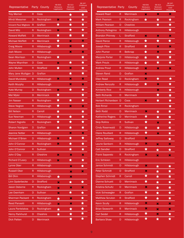| Representative          |    | Party County        | HB 656:<br>Marijuana<br>Legalization | SB 313:<br>Medicaid<br>Expansion | SB 247:<br>Childhood<br>Lead<br>Poisoning | Representative Party      |             | County              | HB 656:<br>Marijuana<br>Legalization | SB 313:<br>Medicaid<br>Expansion | SB 247:<br>Childhood<br>Lead<br>Poisoning |
|-------------------------|----|---------------------|--------------------------------------|----------------------------------|-------------------------------------------|---------------------------|-------------|---------------------|--------------------------------------|----------------------------------|-------------------------------------------|
| <b>Troy Merner</b>      | R. | Coos                |                                      | ★                                | ★                                         | <b>Howard Pearl</b>       | R           | <b>Merrimack</b>    | ×                                    | ×                                | ×                                         |
| <b>Mindi Messmer</b>    | D. | Rockingham          | ×                                    | $\bigstar$                       | ★                                         | <b>Mark Pearson</b>       | R           | Rockingham          | ★                                    | $\bigstar$                       | ★                                         |
| Vincent Paul Migliore R |    | Grafton             | ★                                    | ★                                | $\bigstar$                                | <b>William Pearson</b>    | D           | <b>Cheshire</b>     |                                      | ★                                | ★                                         |
| David Milz              | R. | Rockingham          | ×                                    | $\bigstar$                       | $\bigstar$                                | <b>Anthony Pellegrino</b> | $\mathsf R$ | Hillsborough        |                                      |                                  | ★                                         |
| <b>Howard Moffett</b>   | D  | <b>Merrimack</b>    | ★                                    | ★                                | $\bigstar$                                | <b>Brandon Phinney</b>    | L           | <b>Strafford</b>    | ×                                    | ×                                | $\boldsymbol{\varkappa}$                  |
| <b>Michael Moffett</b>  | R. | <b>Merrimack</b>    | ★                                    | ×                                | ×                                         | <b>David Pierce</b>       | R           | Hillsborough        | ★                                    | ★                                | ★                                         |
| <b>Craig Moore</b>      | R  | Hillsborough        | ★                                    | ×                                | ★                                         | <b>Joseph Pitre</b>       | R           | <b>Strafford</b>    | ★                                    | ×                                | ×                                         |
| <b>Josh Moore</b>       | R. | Hillsborough        |                                      | ×                                | ×                                         | <b>John Plumer</b>        | R           | <b>Belknap</b>      | ★                                    | ×                                | ★                                         |
| <b>Sean Morrison</b>    | R  | Rockingham          | ★                                    |                                  | ★                                         | <b>Marjorie Porter</b>    | D           | <b>Hillsborough</b> | ★                                    | ★                                | ★                                         |
| <b>Wayne Moynihan</b>   | D  | Coos                | ×                                    | ★                                | ★                                         | <b>Mark Proulx</b>        | R           | Hillsborough        | ★                                    | ★                                | ★                                         |
| John Mullen             | R. | <b>Strafford</b>    | ★                                    | ×                                | ★                                         | <b>Andrew Prout</b>       | R           | Hillsborough        | ×                                    | ×                                | $\boldsymbol{\varkappa}$                  |
| Mary Jane Mulligan D    |    | Grafton             |                                      | ★                                | $\bigstar$                                | <b>Steven Rand</b>        | D           | Grafton             | ×                                    |                                  |                                           |
| David Murotake          | R. | Hillsborough        | ×                                    | ×                                | ×                                         | <b>Ellen Read</b>         | D           | Rockingham          | ×                                    | ★                                | ★                                         |
| <b>Keith Murphy</b>     | R. | Hillsborough        |                                      | ×                                | ×                                         | <b>Andrew Renzullo</b>    | R           | Hillsborough        | ★                                    | $\boldsymbol{\times}$            | ★                                         |
| Kate Murray             | D  | Rockingham          | ×                                    | ★                                | ★                                         | <b>Kimberly Rice</b>      | R           | Hillsborough        |                                      | ×                                | ★                                         |
| <b>Mel Myler</b>        | D  | <b>Merrimack</b>    | ★                                    |                                  | $\bigstar$                                | <b>Beth Richards</b>      | D           | <b>Merrimack</b>    |                                      | ★                                | ★                                         |
| <b>Jim Nasser</b>       | R  | Rockingham          | ★                                    | ★                                | ★                                         | Herbert Richardson D      |             | Coos                | ×                                    | ★                                | $\bigstar$                                |
| <b>Steve Negron</b>     | R. | Hillsborough        | ★                                    | ×                                | ×                                         | <b>Bob Rimol</b>          | R           | Rockingham          |                                      |                                  | ★                                         |
| <b>Bill Nelson</b>      | R. | Carroll             | $\bigstar$                           |                                  | ★                                         | <b>Beth Rodd</b>          | D           | <b>Merrimack</b>    | ×                                    | ★                                | ★                                         |
| <b>Sue Newman</b>       | D  | Hillsborough        | ★                                    | ★                                | $\bigstar$                                | <b>Katherine Rogers</b>   | D           | <b>Merrimack</b>    | ★                                    | $\bigstar$                       | ★                                         |
| <b>Robert Nigrello</b>  | R. | Rockingham          | $\bigstar$                           | $\bigstar$                       | $\bigstar$                                | <b>Skip Rollins</b>       | R           | <b>Sullivan</b>     | ★                                    | ×                                | $\bigstar$                                |
| <b>Sharon Nordgren</b>  | D. | Grafton             | $\bigstar$                           | ★                                | $\bigstar$                                | <b>Cindy Rosenwald</b>    | D           | Hillsborough        | ★                                    | ★                                | $\bigstar$                                |
| <b>Jeanine Notter</b>   | R  | Hillsborough        |                                      | ×                                | ×                                         | <b>Claire Rouillard</b>   | R           | Hillsborough        | ★                                    | ×                                | $\bigstar$                                |
| Michael O'Brien         | D  | <b>Hillsborough</b> | ×                                    |                                  | М                                         | <b>Jeffrey Salloway</b>   | D           | <b>Strafford</b>    | ×                                    |                                  | ★                                         |
| John O'Connor           | R. | Rockingham          | ×                                    | $\bigstar$                       | $\bigstar$                                | Laurie Sanborn            | R.          | Hillsborough        | ×                                    | ×                                | ×                                         |
| John O'Connor           | R  | Sullivan            |                                      | $\bigstar$                       | $\bigstar$                                | <b>Catt Sandler</b>       | D           | <b>Strafford</b>    | ★                                    | $\bigstar$                       | ★                                         |
| John O'Day              | R. | Cheshire            | $\pmb{\times}$                       | $\pmb{\times}$                   | $\boldsymbol{\mathsf{x}}$                 | <b>Frank Sapareto</b>     | R           | Rockingham          | $\boldsymbol{\mathsf{x}}$            | ×                                | $\boldsymbol{\mathsf{x}}$                 |
| <b>Richard O'Leary</b>  | D  | Hillsborough        | $\mathbf x$                          | $\bigstar$                       | $\bigstar$                                | <b>Eric Schleien</b>      | R           | Hillsborough        |                                      |                                  |                                           |
| Lynne Ober              | R. | Hillsborough        |                                      | ×                                | $\bigstar$                                | <b>Janice Schmidt</b>     | D           | Hillsborough        | $\boldsymbol{\mathsf{x}}$            | $\bigstar$                       | ★                                         |
| <b>Russell Ober</b>     | R  | Hillsborough        |                                      | ×                                | $\boldsymbol{\mathsf{x}}$                 | <b>Peter Schmidt</b>      | D           | <b>Strafford</b>    | ×                                    | ★                                | $\bigstar$                                |
| <b>Bill Ohm</b>         | R. | Hillsborough        | ★                                    | ×                                |                                           | <b>Stephen Schmidt</b>    | R           | Carroll             | $\bigstar$                           | $\bigstar$                       | $\bigstar$                                |
| Linn Opderbecke         | D. | <b>Strafford</b>    | ×                                    | $\bigstar$                       | $\bigstar$                                | <b>Dianne Schuett</b>     | D           | Merrimack           | ★                                    | $\bigstar$                       | ★                                         |
| Jason Osborne           | R  | Rockingham          | ×                                    | $\boldsymbol{\times}$            | ×                                         | <b>Kristina Schultz</b>   | D           | Merrimack           | $\pmb{\times}$                       | $\bigstar$                       | $\bigstar$                                |
| Lee Oxenham             | D. | Sullivan            | ×                                    | ★                                | $\bigstar$                                | Vicki Schwaegler          | R.          | Grafton             | ★                                    | $\bigstar$                       | ★                                         |
| <b>Sherman Packard</b>  | R  | Rockingham          | $\bigstar$                           | ×                                | $\bigstar$                                | <b>Matthew Scruton</b>    | R           | <b>Strafford</b>    | ★                                    | $\bigstar$                       | $\bigstar$                                |
| <b>Reed Panasiti</b>    | R  | Hillsborough        | ×                                    | ×                                | $\bigstar$                                | <b>Kevin Scully</b>       | R           | Hillsborough        | ×                                    | ×                                | $\boldsymbol{\mathsf{x}}$                 |
| Laura Pantelakos        | D  | Rockingham          | $\bigstar$                           | ★                                | $\bigstar$                                | <b>Brian Seaworth</b>     | R           | Merrimack           | ×                                    | ×                                | ×                                         |
| <b>Henry Parkhurst</b>  | D  | Cheshire            | $\bigstar$                           | $\bigstar$                       | $\bigstar$                                | <b>Carl Seidel</b>        | R           | Hillsborough        | $\bigstar$                           | ×                                | $\bigstar$                                |
| <b>Dick Patten</b>      | D  | Merrimack           |                                      | $\bigstar$                       | $\bigstar$                                | <b>Barbara Shaw</b>       | D           | Hillsborough        | $\bigstar$                           | $\bigstar$                       | $\bigstar$                                |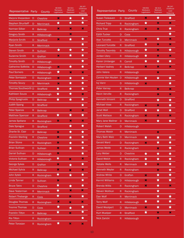| Representative Party       |             | County           | HB 656:<br>Marijuana<br>Legalization | SB 313:<br>Medicaid<br>Expansion | SB 247:<br>Childhood<br>Lead<br>Poisoning | Representative Party     |              | County              | HB 656:<br>Marijuana<br>Legalization | SB 313:<br>Medicaid<br>Expansion |
|----------------------------|-------------|------------------|--------------------------------------|----------------------------------|-------------------------------------------|--------------------------|--------------|---------------------|--------------------------------------|----------------------------------|
| Marjorie Shepardson        | D           | <b>Cheshire</b>  | ×                                    | ★                                | ★                                         | <b>Susan Treleaven</b>   | D            | <b>Strafford</b>    | ×                                    | ★                                |
| <b>Stephen Shurtleff</b>   | D           | <b>Merrimack</b> | ★                                    | $\overline{\star}$               | $\overline{\star}$                        | <b>Richard Tripp</b>     | R            | Rockingham          | ★                                    | $\boldsymbol{\times}$            |
| <b>Norman Silber</b>       | R           | <b>Belknap</b>   | ×                                    | ×                                | ×                                         | <b>Chris True</b>        | R            | Rockingham          | ×                                    | ×                                |
| <b>Gregory Smith</b>       | R           | Hillsborough     |                                      | ×                                |                                           | <b>Edith Tucker</b>      | D            | Coos                |                                      |                                  |
| <b>Marjorie Smith</b>      | D           | <b>Strafford</b> | ×                                    | $\bigstar$                       | $\bigstar$                                | <b>Alan Turcotte</b>     | D            | <b>Merrimack</b>    | ×                                    | ★                                |
| Ryan Smith                 | R           | Merrimack        |                                      |                                  | $\bigstar$                                | <b>Leonard Turcotte</b>  | R            | <b>Strafford</b>    | $\bigstar$                           | ×                                |
| <b>Steven Smith</b>        | R           | Sullivan         | ★                                    | ★                                | $\bigstar$                                | <b>Timothy Twombly</b>   | R            | Hillsborough        | ★                                    | ×                                |
| <b>Suzanne Smith</b>       | D           | Grafton          | ×                                    | $\bigstar$                       | $\bigstar$                                | <b>Jordan Ulery</b>      | R            | Hillsborough        | ★                                    | ×                                |
| <b>Timothy Smith</b>       | D           | Hillsborough     |                                      |                                  | $\bigstar$                                | <b>Karen Umberger</b>    | R.           | Carroll             | ★                                    | $\bigstar$                       |
| <b>Catherine Sofikitis</b> | D           | Hillsborough     | ×                                    | ★                                | ★                                         | <b>Herbert Vadney</b>    | R.           | <b>Belknap</b>      | ×                                    | ×                                |
| <b>Paul Somero</b>         | R           | Hillsborough     | ★                                    | ×                                | ×                                         | <b>John Valera</b>       | R            | Hillsborough        |                                      | ×                                |
| <b>Peter Somssich</b>      | D           | Rockingham       | ×                                    | ★                                | $\bigstar$                                | <b>Connie Van Houten</b> | D            | Hillsborough        | ★                                    | ★                                |
| <b>Timothy Soucy</b>       | D           | <b>Merrimack</b> | ×                                    | ★                                | $\bigstar$                                | <b>Ivy Vann</b>          | D            | <b>Hillsborough</b> | $\pmb{\times}$                       |                                  |
| Thomas Southworth D        |             | <b>Strafford</b> | ★                                    | ★                                | ★                                         | <b>Peter Varney</b>      | R            | <b>Belknap</b>      |                                      | ×                                |
| <b>Kathleen Souza</b>      | $\mathsf R$ | Hillsborough     | ★                                    | ★                                | $\boldsymbol{\times}$                     | <b>Kevin Verville</b>    | R            | Rockingham          |                                      | ×                                |
| <b>Philip Spagnuolo</b>    | D           | <b>Belknap</b>   | $\bigstar$                           | $\bigstar$                       | $\overline{\star}$                        | <b>Kenneth Vincent</b>   | D            | <b>Strafford</b>    |                                      | $\bigstar$                       |
| <b>Judith Spang</b>        | D           | <b>Strafford</b> |                                      |                                  | $\bigstar$                                | <b>Michael Vose</b>      | R.           | Rockingham          | ×                                    | ×                                |
| <b>Peter Spanos</b>        | R           | <b>Belknap</b>   |                                      | ×                                | ×                                         | Janet Wall               | D            | <b>Strafford</b>    | ★                                    | ★                                |
| <b>Matthew Spencer</b>     | R           | <b>Strafford</b> | $\bigstar$                           | $\bigstar$                       | $\bigstar$                                | <b>Scott Wallace</b>     | R            | Rockingham          | ×                                    | ×                                |
| <b>James Spillane</b>      | $\mathsf R$ | Rockingham       | ×                                    | ×                                | ×                                         | Mary Jane Wallner        | D            | <b>Merrimack</b>    | ×                                    | ★                                |
| Dale Sprague               | D           | <b>Strafford</b> |                                      | ★                                | ★                                         | <b>Robert Walsh</b>      | D            | Hillsborough        |                                      |                                  |
| <b>Charlie St. Clair</b>   | D           | <b>Belknap</b>   | ×                                    | $\bigstar$                       | ★                                         | <b>Thomas Walsh</b>      | R.           | Merrimack           |                                      | ×                                |
| <b>Franklin Sterling</b>   | R.          | <b>Cheshire</b>  | ×                                    | ★                                | $\bigstar$                                | Mary Beth Walz           | D            | <b>Merrimack</b>    | ★                                    | $\bigstar$                       |
| <b>Brian Stone</b>         | R           | Rockingham       | ×                                    | ★                                | ★                                         | <b>Gerald Ward</b>       | D            | Rockingham          | ×                                    | ★                                |
| <b>Brian Sullivan</b>      | D           | <b>Sullivan</b>  | ×                                    | $\bigstar$                       | $\bigstar$                                | <b>James Webb</b>        | R            | Rockingham          |                                      | $\pmb{\times}$                   |
| <b>Daniel Sullivan</b>     | D           | Hillsborough     | ×                                    |                                  | $\bigstar$                                | <b>Lucy Weber</b>        | D            | Cheshire            | ★                                    | $\bigstar$                       |
| Victoria Sullivan          | R           | Hillsborough     | $\bigstar$                           | ×                                | $\boldsymbol{\times}$                     | David Welch              | R            | Rockingham          | ★                                    | ★                                |
| <b>George Sykes</b>        | D           | Grafton          | ×                                    | ★                                | $\bigstar$                                | <b>Natalie Wells</b>     | R            | Merrimack           | ★                                    | $\boldsymbol{\times}$            |
| <b>Michael Sylvia</b>      | R           | <b>Belknap</b>   | ×                                    | ×                                | ×                                         | Kenneth Weyler           | $\mathsf R$  | Rockingham          |                                      | $\boldsymbol{\varkappa}$         |
| <b>John Sytek</b>          | R           | Rockingham       | $\bigstar$                           | $\bigstar$                       | $\bigstar$                                | <b>Andrew White</b>      | D            | Grafton             | $\boldsymbol{\times}$                | $\bigstar$                       |
| Linda Tanner               | D           | <b>Sullivan</b>  | ×                                    |                                  | $\bigstar$                                | <b>Kermit Williams</b>   | D            | Hillsborough        | ×                                    | $\bigstar$                       |
| <b>Bruce Tatro</b>         | D           | Cheshire         | ★                                    | $\bigstar$                       | $\bigstar$                                | <b>Brenda Willis</b>     | R            | Rockingham          | $\pmb{\times}$                       | ★                                |
| Dave Testerman             | R           | Merrimack        | $\bigstar$                           | ×                                | ×                                         | <b>Steven Woitkun</b>    | R            | Rockingham          |                                      | $\bigstar$                       |
| <b>Robert Theberge</b>     | $\mathsf R$ | Coos             | $\bigstar$                           | ×                                | $\bigstar$                                | Dan Wolf                 | $\mathsf{R}$ | Merrimack           |                                      | $\bigstar$                       |
| <b>Douglas Thomas</b>      | R           | Rockingham       | ×                                    | ×                                | ×                                         | <b>Terry Wolf</b>        | $\mathsf R$  | Hillsborough        | ★                                    | $\bigstar$                       |
| <b>Yvonne Thomas</b>       | D           | Coos             | ★                                    | ★                                | $\bigstar$                                | David Woolpert           | D            | <b>Merrimack</b>    | $\pmb{\times}$                       | $\bigstar$                       |
| <b>Franklin Tilton</b>     | R           | <b>Belknap</b>   | ★                                    | ×                                | $\bigstar$                                | <b>Kurt Wuelper</b>      | $\mathsf R$  | <b>Strafford</b>    | ★                                    | $\boldsymbol{\mathsf{x}}$        |
| <b>Rio Tilton</b>          | R           | Rockingham       |                                      |                                  | ★                                         | Nick Zaricki             | R.           | Hillsborough        |                                      | $\boldsymbol{\times}$            |
| Peter Torosian             | R           | Rockingham       | $\star$                              | ×                                | ×                                         |                          |              |                     |                                      |                                  |

SB 247: Childhood Lead Poisoning

 $\begin{array}{c|c|c|c} \hline \mathbf{x} & \mathbf{x} \\ \hline \mathbf{x} & \mathbf{y} \end{array}$ 

★ ★ × × ★ ★ ★ × ★

★★★★★